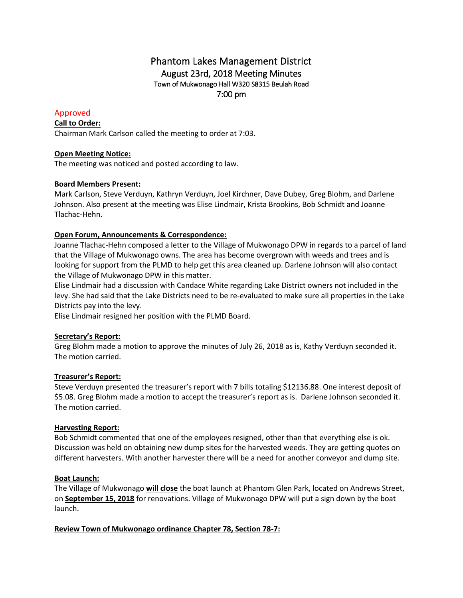# Phantom Lakes Management District August 23rd, 2018 Meeting Minutes Town of Mukwonago Hall W320 S8315 Beulah Road 7:00 pm

## Approved

### **Call to Order:**

Chairman Mark Carlson called the meeting to order at 7:03.

### **Open Meeting Notice:**

The meeting was noticed and posted according to law.

### **Board Members Present:**

Mark Carlson, Steve Verduyn, Kathryn Verduyn, Joel Kirchner, Dave Dubey, Greg Blohm, and Darlene Johnson. Also present at the meeting was Elise Lindmair, Krista Brookins, Bob Schmidt and Joanne Tlachac-Hehn.

### **Open Forum, Announcements & Correspondence:**

Joanne Tlachac-Hehn composed a letter to the Village of Mukwonago DPW in regards to a parcel of land that the Village of Mukwonago owns. The area has become overgrown with weeds and trees and is looking for support from the PLMD to help get this area cleaned up. Darlene Johnson will also contact the Village of Mukwonago DPW in this matter.

Elise Lindmair had a discussion with Candace White regarding Lake District owners not included in the levy. She had said that the Lake Districts need to be re-evaluated to make sure all properties in the Lake Districts pay into the levy.

Elise Lindmair resigned her position with the PLMD Board.

### **Secretary's Report:**

Greg Blohm made a motion to approve the minutes of July 26, 2018 as is, Kathy Verduyn seconded it. The motion carried.

### **Treasurer's Report:**

Steve Verduyn presented the treasurer's report with 7 bills totaling \$12136.88. One interest deposit of \$5.08. Greg Blohm made a motion to accept the treasurer's report as is. Darlene Johnson seconded it. The motion carried.

### **Harvesting Report:**

Bob Schmidt commented that one of the employees resigned, other than that everything else is ok. Discussion was held on obtaining new dump sites for the harvested weeds. They are getting quotes on different harvesters. With another harvester there will be a need for another conveyor and dump site.

### **Boat Launch:**

The Village of Mukwonago **will close** the boat launch at Phantom Glen Park, located on Andrews Street, on **September 15, 2018** for renovations. Village of Mukwonago DPW will put a sign down by the boat launch.

### **Review Town of Mukwonago ordinance Chapter 78, Section 78-7:**